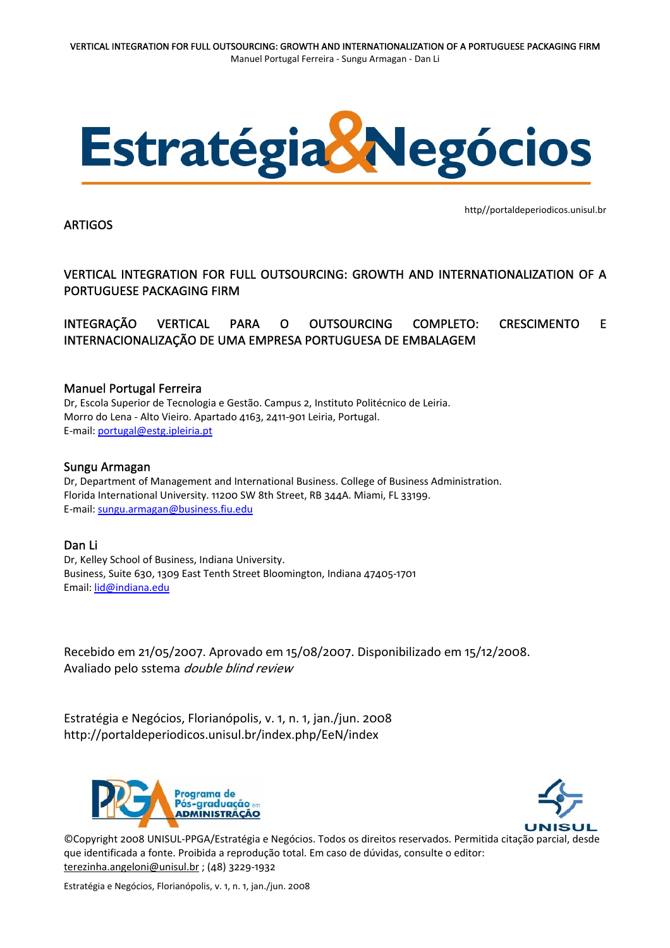

### ARTIGOS

http//portaldeperiodicos.unisul.br

VERTICAL INTEGRATION FOR FULL OUTSOURCING: GROWTH AND INTERNATIONALIZATION OF A PORTUGUESE PACKAGING FIRM

INTEGRAÇÃO VERTICAL PARA O OUTSOURCING COMPLETO: CRESCIMENTO E INTERNACIONALIZAÇÃO DE UMA EMPRESA PORTUGUESA DE EMBALAGEM

### Manuel Portugal Ferreira

Dr, Escola Superior de Tecnologia e Gestão. Campus 2, Instituto Politécnico de Leiria. Morro do Lena ‐ Alto Vieiro. Apartado 4163, 2411‐901 Leiria, Portugal. E‐mail: [portugal@estg.ipleiria.pt](mailto:portugal@estg.ipleiria.pt)

### Sungu Armagan

Dr, Department of Management and International Business. College of Business Administration. Florida International University. 11200 SW 8th Street, RB 344A. Miami, FL 33199. E‐mail: [sungu.armagan@business.fiu.edu](mailto:sungu.armagan@business.fiu.edu)

## Dan Li

Dr, Kelley School of Business, Indiana University. Business, Suite 630, 1309 East Tenth Street Bloomington, Indiana 47405‐1701 Email: [lid@indiana.edu](mailto:lid@indiana.edu)

Recebido em 21/05/2007. Aprovado em 15/08/2007. Disponibilizado em 15/12/2008. Avaliado pelo sstema double blind review

Estratégia e Negócios, Florianópolis, v. 1, n. 1, jan./jun. 2008 http://portaldeperiodicos.unisul.br/index.php/EeN/index





©Copyright 2008 UNISUL‐PPGA/Estratégia e Negócios. Todos os direitos reservados. Permitida citação parcial, desde que identificada a fonte. Proibida a reprodução total. Em caso de dúvidas, consulte o editor: [terezinha.angeloni@unisul.br](mailto:terezinha.angeloni@unisul.br) ; (48) 3229‐1932

Estratégia e Negócios, Florianópolis, v. 1, n. 1, jan./jun. 2008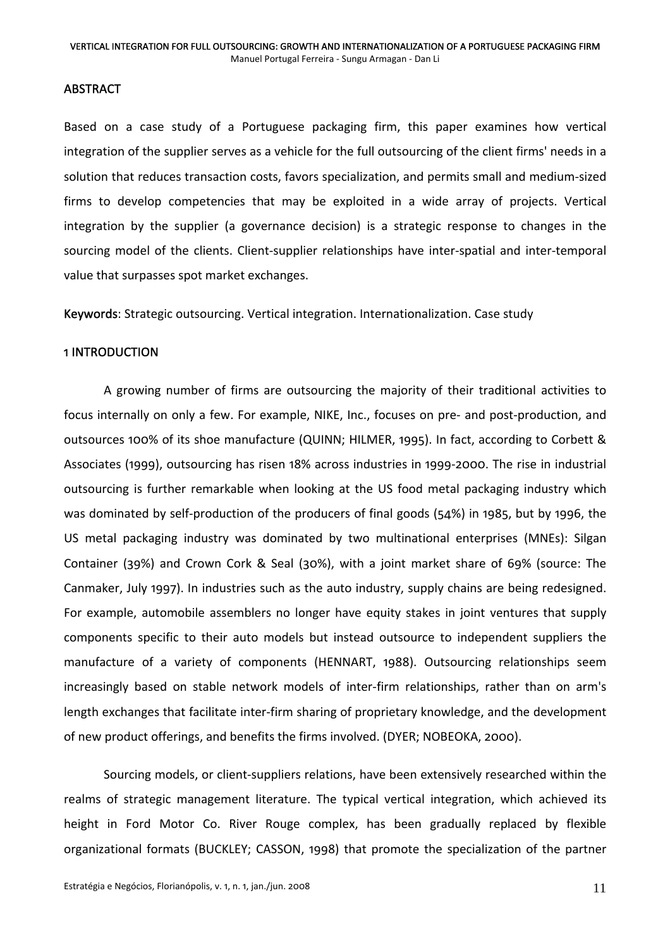### **ABSTRACT**

Based on a case study of a Portuguese packaging firm, this paper examines how vertical integration of the supplier serves as a vehicle for the full outsourcing of the client firms' needs in a solution that reduces transaction costs, favors specialization, and permits small and medium‐sized firms to develop competencies that may be exploited in a wide array of projects. Vertical integration by the supplier (a governance decision) is a strategic response to changes in the sourcing model of the clients. Client-supplier relationships have inter-spatial and inter-temporal value that surpasses spot market exchanges.

Keywords: Strategic outsourcing. Vertical integration. Internationalization. Case study

### 1 INTRODUCTION

A growing number of firms are outsourcing the majority of their traditional activities to focus internally on only a few. For example, NIKE, Inc., focuses on pre‐ and post‐production, and outsources 100% of its shoe manufacture (QUINN; HILMER, 1995). In fact, according to Corbett & Associates (1999), outsourcing has risen 18% across industries in 1999‐2000. The rise in industrial outsourcing is further remarkable when looking at the US food metal packaging industry which was dominated by self-production of the producers of final goods (54%) in 1985, but by 1996, the US metal packaging industry was dominated by two multinational enterprises (MNEs): Silgan Container (39%) and Crown Cork & Seal (30%), with a joint market share of 69% (source: The Canmaker, July 1997). In industries such as the auto industry, supply chains are being redesigned. For example, automobile assemblers no longer have equity stakes in joint ventures that supply components specific to their auto models but instead outsource to independent suppliers the manufacture of a variety of components (HENNART, 1988). Outsourcing relationships seem increasingly based on stable network models of inter-firm relationships, rather than on arm's length exchanges that facilitate inter-firm sharing of proprietary knowledge, and the development of new product offerings, and benefits the firms involved. (DYER; NOBEOKA, 2000).

Sourcing models, or client‐suppliers relations, have been extensively researched within the realms of strategic management literature. The typical vertical integration, which achieved its height in Ford Motor Co. River Rouge complex, has been gradually replaced by flexible organizational formats (BUCKLEY; CASSON, 1998) that promote the specialization of the partner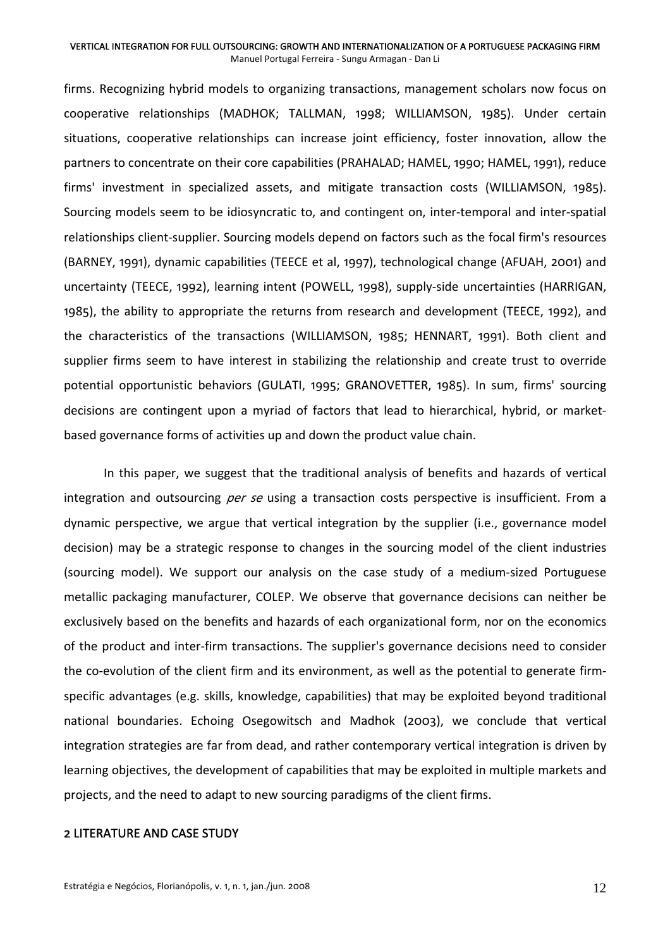firms. Recognizing hybrid models to organizing transactions, management scholars now focus on cooperative relationships (MADHOK; TALLMAN, 1998; WILLIAMSON, 1985). Under certain situations, cooperative relationships can increase joint efficiency, foster innovation, allow the partners to concentrate on their core capabilities (PRAHALAD; HAMEL, 1990; HAMEL, 1991), reduce firms' investment in specialized assets, and mitigate transaction costs (WILLIAMSON, 1985). Sourcing models seem to be idiosyncratic to, and contingent on, inter‐temporal and inter‐spatial relationships client-supplier. Sourcing models depend on factors such as the focal firm's resources (BARNEY, 1991), dynamic capabilities (TEECE et al, 1997), technological change (AFUAH, 2001) and uncertainty (TEECE, 1992), learning intent (POWELL, 1998), supply‐side uncertainties (HARRIGAN, 1985), the ability to appropriate the returns from research and development (TEECE, 1992), and the characteristics of the transactions (WILLIAMSON, 1985; HENNART, 1991). Both client and supplier firms seem to have interest in stabilizing the relationship and create trust to override potential opportunistic behaviors (GULATI, 1995; GRANOVETTER, 1985). In sum, firms' sourcing decisions are contingent upon a myriad of factors that lead to hierarchical, hybrid, or market‐ based governance forms of activities up and down the product value chain.

In this paper, we suggest that the traditional analysis of benefits and hazards of vertical integration and outsourcing per se using a transaction costs perspective is insufficient. From a dynamic perspective, we argue that vertical integration by the supplier (i.e., governance model decision) may be a strategic response to changes in the sourcing model of the client industries (sourcing model). We support our analysis on the case study of a medium‐sized Portuguese metallic packaging manufacturer, COLEP. We observe that governance decisions can neither be exclusively based on the benefits and hazards of each organizational form, nor on the economics of the product and inter‐firm transactions. The supplier's governance decisions need to consider the co-evolution of the client firm and its environment, as well as the potential to generate firmspecific advantages (e.g. skills, knowledge, capabilities) that may be exploited beyond traditional national boundaries. Echoing Osegowitsch and Madhok (2003), we conclude that vertical integration strategies are far from dead, and rather contemporary vertical integration is driven by learning objectives, the development of capabilities that may be exploited in multiple markets and projects, and the need to adapt to new sourcing paradigms of the client firms.

### 2 LITERATURE AND CASE STUDY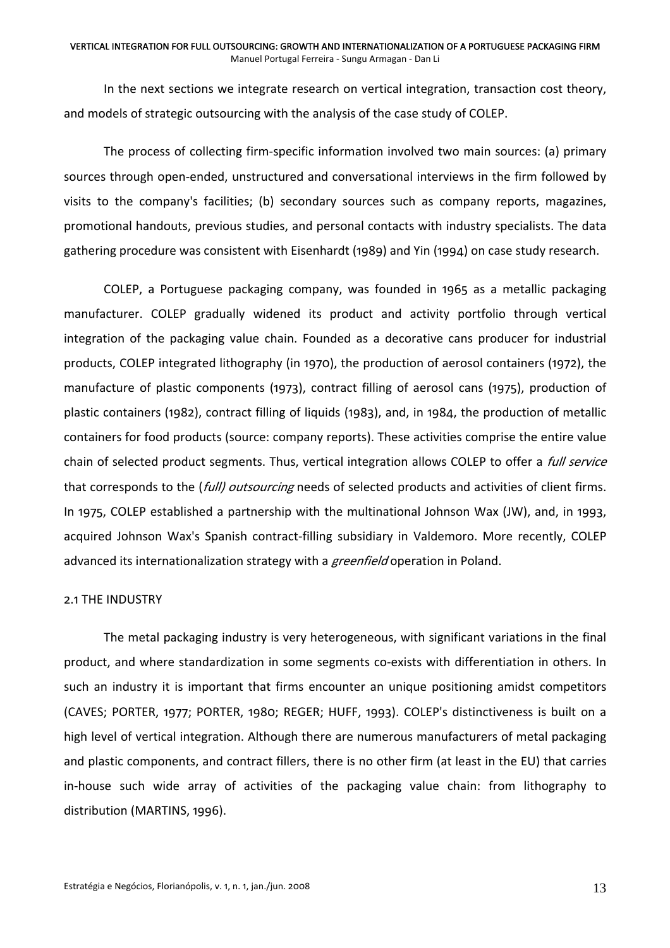In the next sections we integrate research on vertical integration, transaction cost theory, and models of strategic outsourcing with the analysis of the case study of COLEP.

The process of collecting firm‐specific information involved two main sources: (a) primary sources through open‐ended, unstructured and conversational interviews in the firm followed by visits to the company's facilities; (b) secondary sources such as company reports, magazines, promotional handouts, previous studies, and personal contacts with industry specialists. The data gathering procedure was consistent with Eisenhardt (1989) and Yin (1994) on case study research.

COLEP, a Portuguese packaging company, was founded in 1965 as a metallic packaging manufacturer. COLEP gradually widened its product and activity portfolio through vertical integration of the packaging value chain. Founded as a decorative cans producer for industrial products, COLEP integrated lithography (in 1970), the production of aerosol containers (1972), the manufacture of plastic components (1973), contract filling of aerosol cans (1975), production of plastic containers (1982), contract filling of liquids (1983), and, in 1984, the production of metallic containers for food products (source: company reports). These activities comprise the entire value chain of selected product segments. Thus, vertical integration allows COLEP to offer a *full service* that corresponds to the (*full) outsourcing* needs of selected products and activities of client firms. In 1975, COLEP established a partnership with the multinational Johnson Wax (JW), and, in 1993, acquired Johnson Wax's Spanish contract-filling subsidiary in Valdemoro. More recently, COLEP advanced its internationalization strategy with a greenfield operation in Poland.

## 2.1 THE INDUSTRY

The metal packaging industry is very heterogeneous, with significant variations in the final product, and where standardization in some segments co-exists with differentiation in others. In such an industry it is important that firms encounter an unique positioning amidst competitors (CAVES; PORTER, 1977; PORTER, 1980; REGER; HUFF, 1993). COLEP's distinctiveness is built on a high level of vertical integration. Although there are numerous manufacturers of metal packaging and plastic components, and contract fillers, there is no other firm (at least in the EU) that carries in-house such wide array of activities of the packaging value chain: from lithography to distribution (MARTINS, 1996).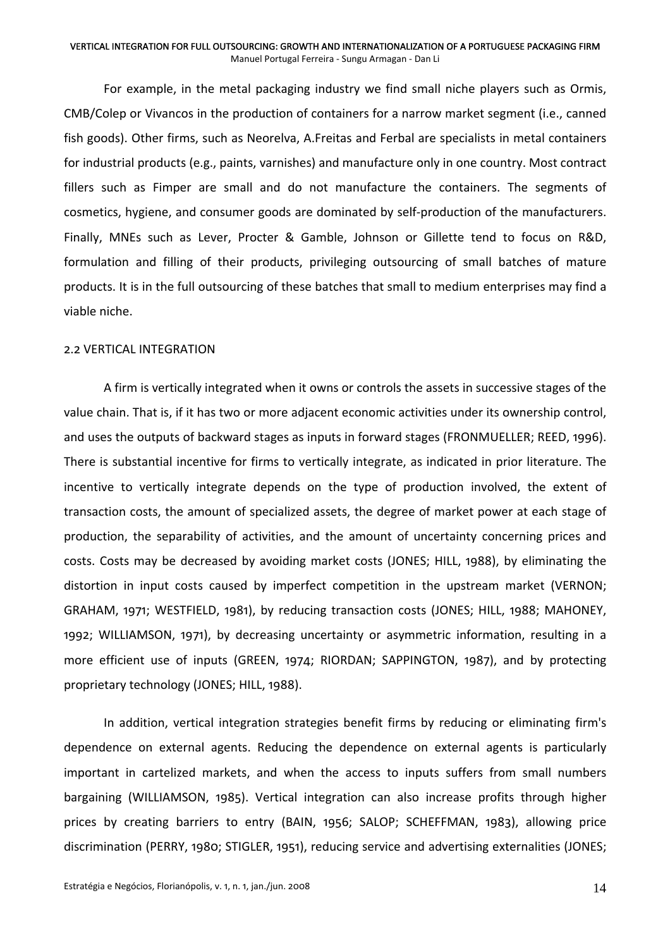For example, in the metal packaging industry we find small niche players such as Ormis, CMB/Colep or Vivancos in the production of containers for a narrow market segment (i.e., canned fish goods). Other firms, such as Neorelva, A.Freitas and Ferbal are specialists in metal containers for industrial products (e.g., paints, varnishes) and manufacture only in one country. Most contract fillers such as Fimper are small and do not manufacture the containers. The segments of cosmetics, hygiene, and consumer goods are dominated by self‐production of the manufacturers. Finally, MNEs such as Lever, Procter & Gamble, Johnson or Gillette tend to focus on R&D, formulation and filling of their products, privileging outsourcing of small batches of mature products. It is in the full outsourcing of these batches that small to medium enterprises may find a viable niche.

### 2.2 VERTICAL INTEGRATION

A firm is vertically integrated when it owns or controls the assets in successive stages of the value chain. That is, if it has two or more adjacent economic activities under its ownership control, and uses the outputs of backward stages as inputs in forward stages (FRONMUELLER; REED, 1996). There is substantial incentive for firms to vertically integrate, as indicated in prior literature. The incentive to vertically integrate depends on the type of production involved, the extent of transaction costs, the amount of specialized assets, the degree of market power at each stage of production, the separability of activities, and the amount of uncertainty concerning prices and costs. Costs may be decreased by avoiding market costs (JONES; HILL, 1988), by eliminating the distortion in input costs caused by imperfect competition in the upstream market (VERNON; GRAHAM, 1971; WESTFIELD, 1981), by reducing transaction costs (JONES; HILL, 1988; MAHONEY, 1992; WILLIAMSON, 1971), by decreasing uncertainty or asymmetric information, resulting in a more efficient use of inputs (GREEN, 1974; RIORDAN; SAPPINGTON, 1987), and by protecting proprietary technology (JONES; HILL, 1988).

In addition, vertical integration strategies benefit firms by reducing or eliminating firm's dependence on external agents. Reducing the dependence on external agents is particularly important in cartelized markets, and when the access to inputs suffers from small numbers bargaining (WILLIAMSON, 1985). Vertical integration can also increase profits through higher prices by creating barriers to entry (BAIN, 1956; SALOP; SCHEFFMAN, 1983), allowing price discrimination (PERRY, 1980; STIGLER, 1951), reducing service and advertising externalities (JONES;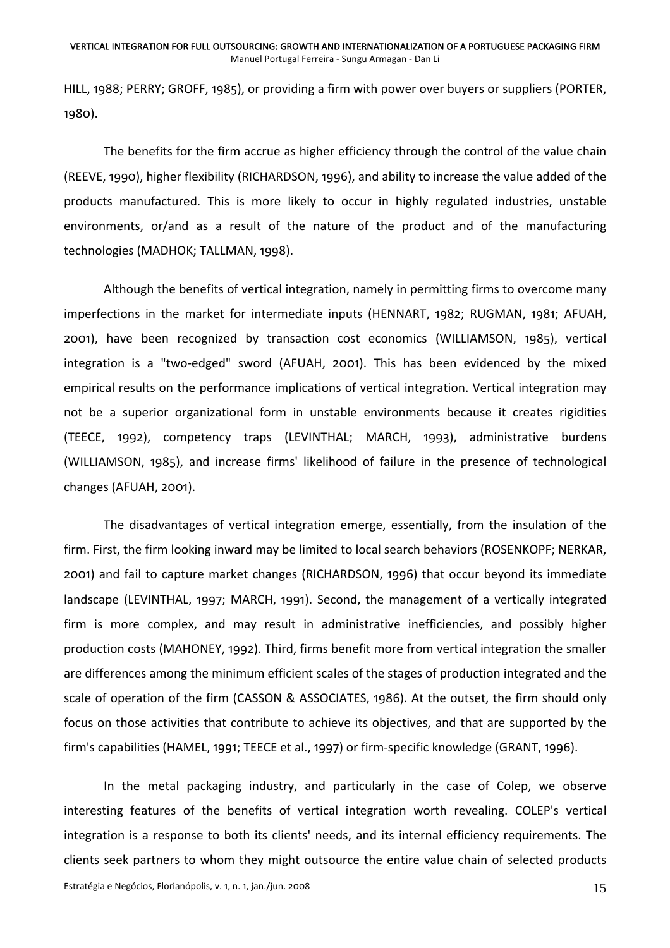HILL, 1988; PERRY; GROFF, 1985), or providing a firm with power over buyers or suppliers (PORTER, 1980).

The benefits for the firm accrue as higher efficiency through the control of the value chain (REEVE, 1990), higher flexibility (RICHARDSON, 1996), and ability to increase the value added of the products manufactured. This is more likely to occur in highly regulated industries, unstable environments, or/and as a result of the nature of the product and of the manufacturing technologies (MADHOK; TALLMAN, 1998).

Although the benefits of vertical integration, namely in permitting firms to overcome many imperfections in the market for intermediate inputs (HENNART, 1982; RUGMAN, 1981; AFUAH, 2001), have been recognized by transaction cost economics (WILLIAMSON, 1985), vertical integration is a "two-edged" sword (AFUAH, 2001). This has been evidenced by the mixed empirical results on the performance implications of vertical integration. Vertical integration may not be a superior organizational form in unstable environments because it creates rigidities (TEECE, 1992), competency traps (LEVINTHAL; MARCH, 1993), administrative burdens (WILLIAMSON, 1985), and increase firms' likelihood of failure in the presence of technological changes (AFUAH, 2001).

The disadvantages of vertical integration emerge, essentially, from the insulation of the firm. First, the firm looking inward may be limited to local search behaviors (ROSENKOPF; NERKAR, 2001) and fail to capture market changes (RICHARDSON, 1996) that occur beyond its immediate landscape (LEVINTHAL, 1997; MARCH, 1991). Second, the management of a vertically integrated firm is more complex, and may result in administrative inefficiencies, and possibly higher production costs (MAHONEY, 1992). Third, firms benefit more from vertical integration the smaller are differences among the minimum efficient scales of the stages of production integrated and the scale of operation of the firm (CASSON & ASSOCIATES, 1986). At the outset, the firm should only focus on those activities that contribute to achieve its objectives, and that are supported by the firm's capabilities (HAMEL, 1991; TEECE et al., 1997) or firm‐specific knowledge (GRANT, 1996).

In the metal packaging industry, and particularly in the case of Colep, we observe interesting features of the benefits of vertical integration worth revealing. COLEP's vertical integration is a response to both its clients' needs, and its internal efficiency requirements. The clients seek partners to whom they might outsource the entire value chain of selected products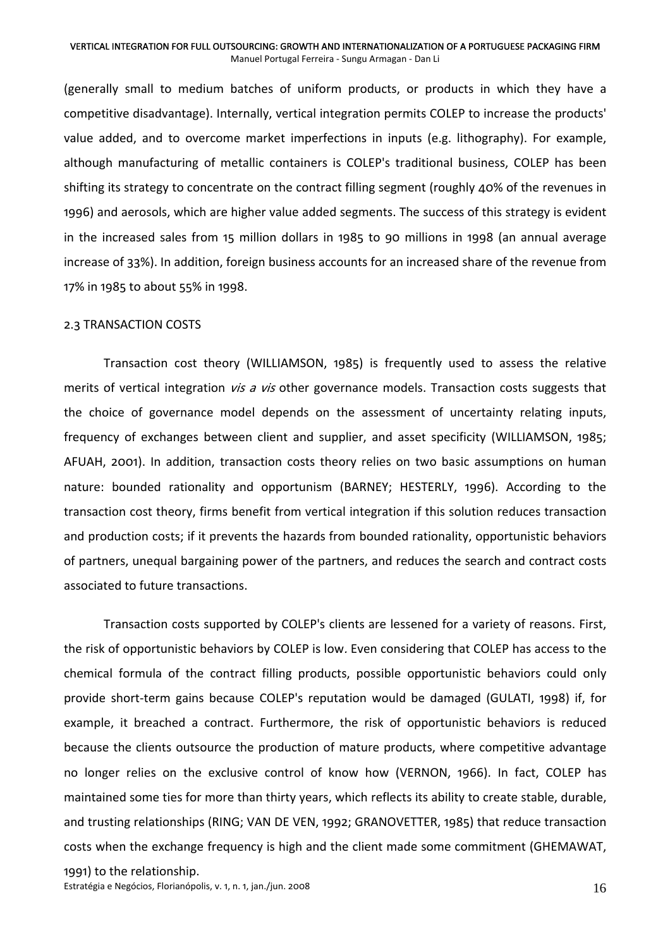(generally small to medium batches of uniform products, or products in which they have a competitive disadvantage). Internally, vertical integration permits COLEP to increase the products' value added, and to overcome market imperfections in inputs (e.g. lithography). For example, although manufacturing of metallic containers is COLEP's traditional business, COLEP has been shifting its strategy to concentrate on the contract filling segment (roughly 40% of the revenues in 1996) and aerosols, which are higher value added segments. The success of this strategy is evident in the increased sales from 15 million dollars in 1985 to 90 millions in 1998 (an annual average increase of 33%). In addition, foreign business accounts for an increased share of the revenue from 17% in 1985 to about 55% in 1998.

### 2.3 TRANSACTION COSTS

Transaction cost theory (WILLIAMSON, 1985) is frequently used to assess the relative merits of vertical integration *vis a vis* other governance models. Transaction costs suggests that the choice of governance model depends on the assessment of uncertainty relating inputs, frequency of exchanges between client and supplier, and asset specificity (WILLIAMSON, 1985; AFUAH, 2001). In addition, transaction costs theory relies on two basic assumptions on human nature: bounded rationality and opportunism (BARNEY; HESTERLY, 1996). According to the transaction cost theory, firms benefit from vertical integration if this solution reduces transaction and production costs; if it prevents the hazards from bounded rationality, opportunistic behaviors of partners, unequal bargaining power of the partners, and reduces the search and contract costs associated to future transactions.

Transaction costs supported by COLEP's clients are lessened for a variety of reasons. First, the risk of opportunistic behaviors by COLEP is low. Even considering that COLEP has access to the chemical formula of the contract filling products, possible opportunistic behaviors could only provide short-term gains because COLEP's reputation would be damaged (GULATI, 1998) if, for example, it breached a contract. Furthermore, the risk of opportunistic behaviors is reduced because the clients outsource the production of mature products, where competitive advantage no longer relies on the exclusive control of know how (VERNON, 1966). In fact, COLEP has maintained some ties for more than thirty years, which reflects its ability to create stable, durable, and trusting relationships (RING; VAN DE VEN, 1992; GRANOVETTER, 1985) that reduce transaction costs when the exchange frequency is high and the client made some commitment (GHEMAWAT,

Estratégia e Negócios, Florianópolis, v. 1, n. 1, jan./jun. 2008  $16$ 1991) to the relationship.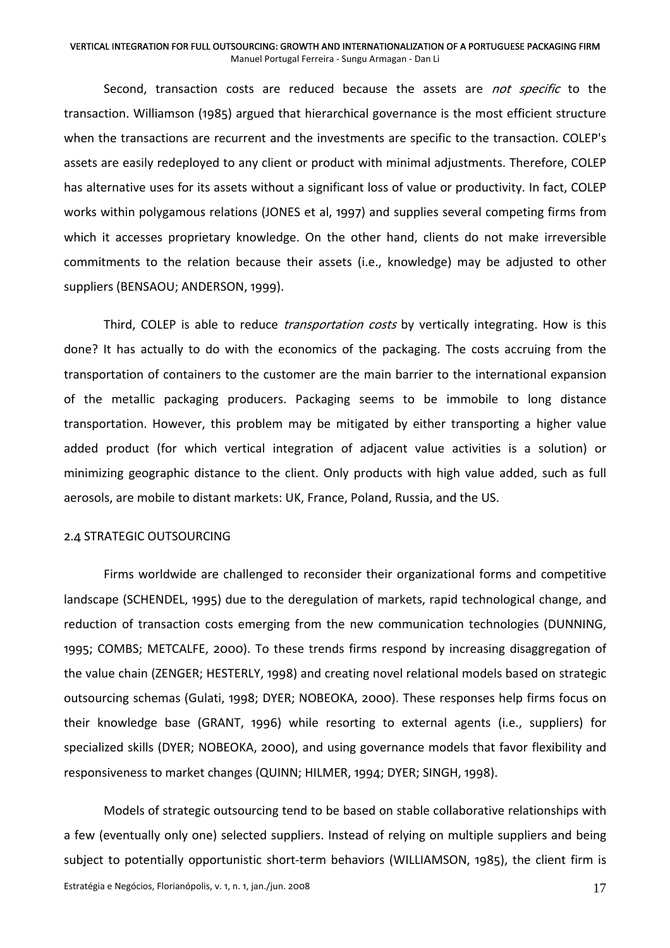Second, transaction costs are reduced because the assets are *not specific* to the transaction. Williamson (1985) argued that hierarchical governance is the most efficient structure when the transactions are recurrent and the investments are specific to the transaction. COLEP's assets are easily redeployed to any client or product with minimal adjustments. Therefore, COLEP has alternative uses for its assets without a significant loss of value or productivity. In fact, COLEP works within polygamous relations (JONES et al, 1997) and supplies several competing firms from which it accesses proprietary knowledge. On the other hand, clients do not make irreversible commitments to the relation because their assets (i.e., knowledge) may be adjusted to other suppliers (BENSAOU; ANDERSON, 1999).

Third, COLEP is able to reduce *transportation costs* by vertically integrating. How is this done? It has actually to do with the economics of the packaging. The costs accruing from the transportation of containers to the customer are the main barrier to the international expansion of the metallic packaging producers. Packaging seems to be immobile to long distance transportation. However, this problem may be mitigated by either transporting a higher value added product (for which vertical integration of adjacent value activities is a solution) or minimizing geographic distance to the client. Only products with high value added, such as full aerosols, are mobile to distant markets: UK, France, Poland, Russia, and the US.

### 2.4 STRATEGIC OUTSOURCING

Firms worldwide are challenged to reconsider their organizational forms and competitive landscape (SCHENDEL, 1995) due to the deregulation of markets, rapid technological change, and reduction of transaction costs emerging from the new communication technologies (DUNNING, 1995; COMBS; METCALFE, 2000). To these trends firms respond by increasing disaggregation of the value chain (ZENGER; HESTERLY, 1998) and creating novel relational models based on strategic outsourcing schemas (Gulati, 1998; DYER; NOBEOKA, 2000). These responses help firms focus on their knowledge base (GRANT, 1996) while resorting to external agents (i.e., suppliers) for specialized skills (DYER; NOBEOKA, 2000), and using governance models that favor flexibility and responsiveness to market changes (QUINN; HILMER, 1994; DYER; SINGH, 1998).

Models of strategic outsourcing tend to be based on stable collaborative relationships with a few (eventually only one) selected suppliers. Instead of relying on multiple suppliers and being subject to potentially opportunistic short-term behaviors (WILLIAMSON, 1985), the client firm is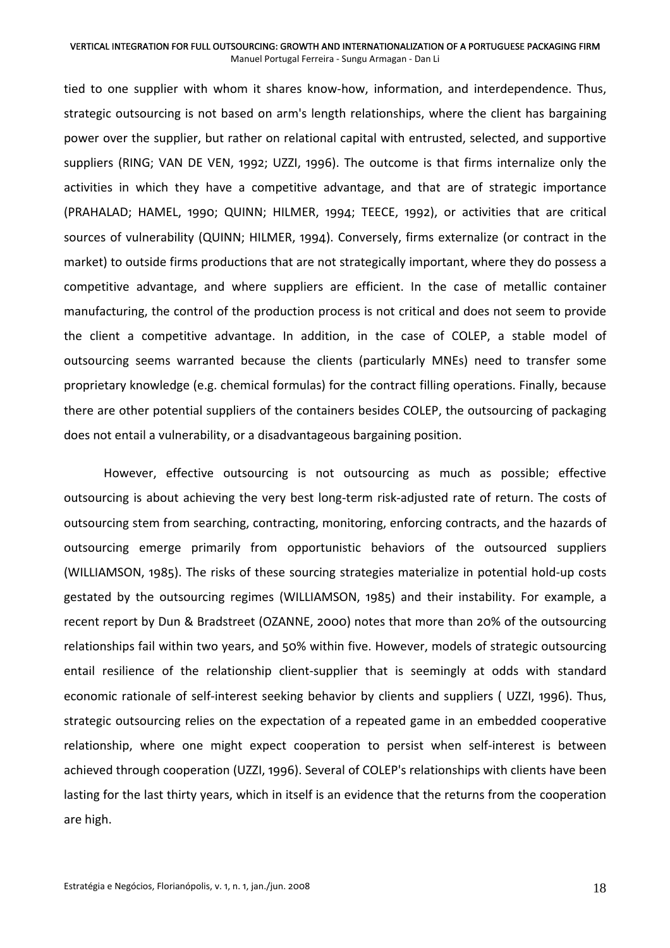tied to one supplier with whom it shares know‐how, information, and interdependence. Thus, strategic outsourcing is not based on arm's length relationships, where the client has bargaining power over the supplier, but rather on relational capital with entrusted, selected, and supportive suppliers (RING; VAN DE VEN, 1992; UZZI, 1996). The outcome is that firms internalize only the activities in which they have a competitive advantage, and that are of strategic importance (PRAHALAD; HAMEL, 1990; QUINN; HILMER, 1994; TEECE, 1992), or activities that are critical sources of vulnerability (QUINN; HILMER, 1994). Conversely, firms externalize (or contract in the market) to outside firms productions that are not strategically important, where they do possess a competitive advantage, and where suppliers are efficient. In the case of metallic container manufacturing, the control of the production process is not critical and does not seem to provide the client a competitive advantage. In addition, in the case of COLEP, a stable model of outsourcing seems warranted because the clients (particularly MNEs) need to transfer some proprietary knowledge (e.g. chemical formulas) for the contract filling operations. Finally, because there are other potential suppliers of the containers besides COLEP, the outsourcing of packaging does not entail a vulnerability, or a disadvantageous bargaining position.

However, effective outsourcing is not outsourcing as much as possible; effective outsourcing is about achieving the very best long-term risk-adjusted rate of return. The costs of outsourcing stem from searching, contracting, monitoring, enforcing contracts, and the hazards of outsourcing emerge primarily from opportunistic behaviors of the outsourced suppliers (WILLIAMSON, 1985). The risks of these sourcing strategies materialize in potential hold‐up costs gestated by the outsourcing regimes (WILLIAMSON, 1985) and their instability. For example, a recent report by Dun & Bradstreet (OZANNE, 2000) notes that more than 20% of the outsourcing relationships fail within two years, and 50% within five. However, models of strategic outsourcing entail resilience of the relationship client-supplier that is seemingly at odds with standard economic rationale of self-interest seeking behavior by clients and suppliers (UZZI, 1996). Thus, strategic outsourcing relies on the expectation of a repeated game in an embedded cooperative relationship, where one might expect cooperation to persist when self-interest is between achieved through cooperation (UZZI, 1996). Several of COLEP's relationships with clients have been lasting for the last thirty years, which in itself is an evidence that the returns from the cooperation are high.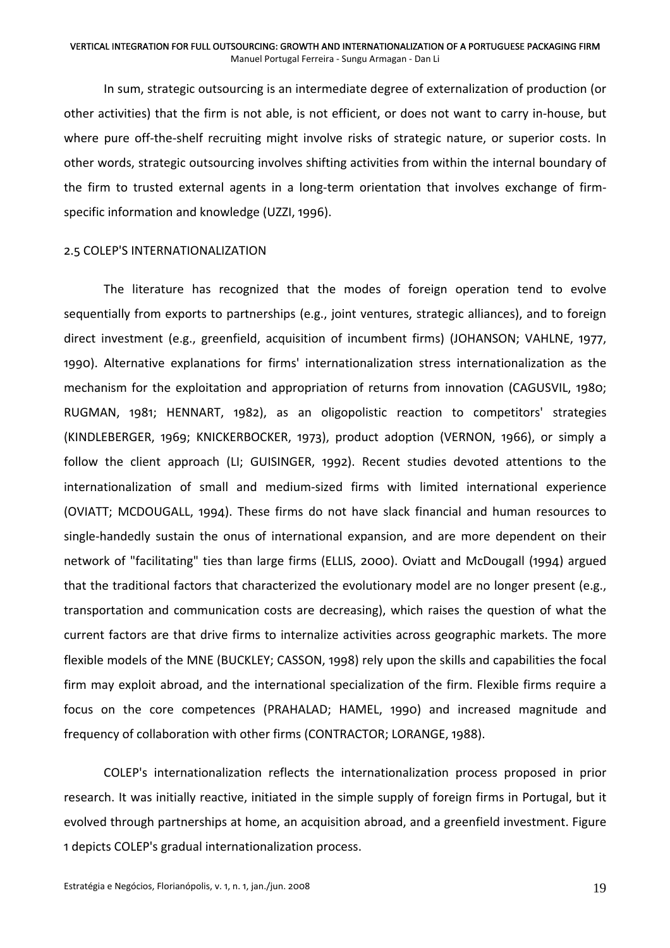In sum, strategic outsourcing is an intermediate degree of externalization of production (or other activities) that the firm is not able, is not efficient, or does not want to carry in‐house, but where pure off-the-shelf recruiting might involve risks of strategic nature, or superior costs. In other words, strategic outsourcing involves shifting activities from within the internal boundary of the firm to trusted external agents in a long‐term orientation that involves exchange of firm‐ specific information and knowledge (UZZI, 1996).

### 2.5 COLEP'S INTERNATIONALIZATION

The literature has recognized that the modes of foreign operation tend to evolve sequentially from exports to partnerships (e.g., joint ventures, strategic alliances), and to foreign direct investment (e.g., greenfield, acquisition of incumbent firms) (JOHANSON; VAHLNE, 1977, 1990). Alternative explanations for firms' internationalization stress internationalization as the mechanism for the exploitation and appropriation of returns from innovation (CAGUSVIL, 1980; RUGMAN, 1981; HENNART, 1982), as an oligopolistic reaction to competitors' strategies (KINDLEBERGER, 1969; KNICKERBOCKER, 1973), product adoption (VERNON, 1966), or simply a follow the client approach (LI; GUISINGER, 1992). Recent studies devoted attentions to the internationalization of small and medium‐sized firms with limited international experience (OVIATT; MCDOUGALL, 1994). These firms do not have slack financial and human resources to single-handedly sustain the onus of international expansion, and are more dependent on their network of "facilitating" ties than large firms (ELLIS, 2000). Oviatt and McDougall (1994) argued that the traditional factors that characterized the evolutionary model are no longer present (e.g., transportation and communication costs are decreasing), which raises the question of what the current factors are that drive firms to internalize activities across geographic markets. The more flexible models of the MNE (BUCKLEY; CASSON, 1998) rely upon the skills and capabilities the focal firm may exploit abroad, and the international specialization of the firm. Flexible firms require a focus on the core competences (PRAHALAD; HAMEL, 1990) and increased magnitude and frequency of collaboration with other firms (CONTRACTOR; LORANGE, 1988).

COLEP's internationalization reflects the internationalization process proposed in prior research. It was initially reactive, initiated in the simple supply of foreign firms in Portugal, but it evolved through partnerships at home, an acquisition abroad, and a greenfield investment. Figure 1 depicts COLEP's gradual internationalization process.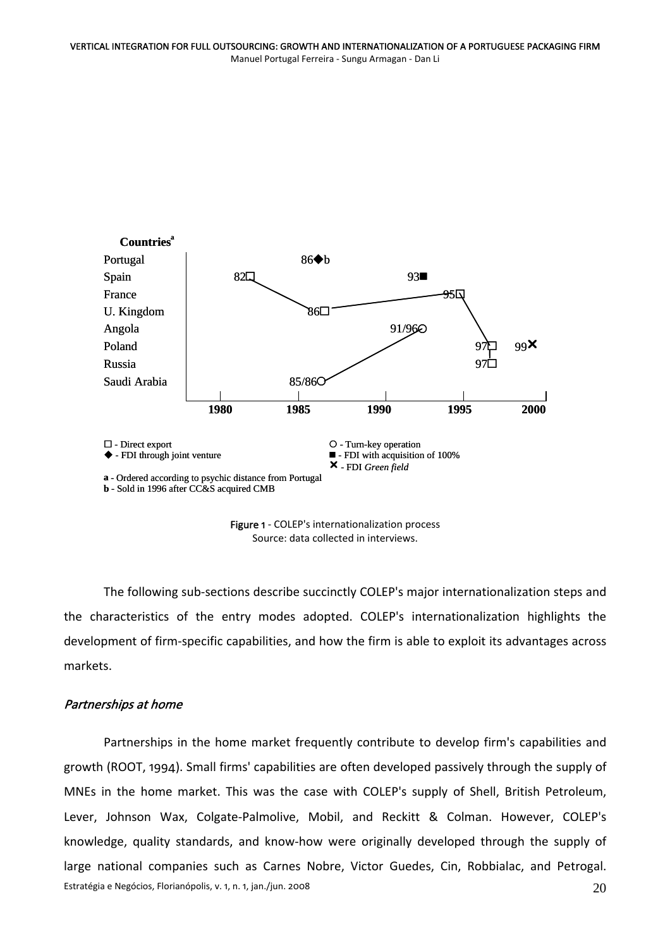

Figure 1 - COLEP's internationalization process Source: data collected in interviews.

The following sub-sections describe succinctly COLEP's major internationalization steps and the characteristics of the entry modes adopted. COLEP's internationalization highlights the development of firm‐specific capabilities, and how the firm is able to exploit its advantages across markets.

## Partnerships at home

Estratégia e Negócios, Florianópolis, v. 1, n. 1, jan./jun. 2008 20 Partnerships in the home market frequently contribute to develop firm's capabilities and growth (ROOT, 1994). Small firms' capabilities are often developed passively through the supply of MNEs in the home market. This was the case with COLEP's supply of Shell, British Petroleum, Lever, Johnson Wax, Colgate-Palmolive, Mobil, and Reckitt & Colman. However, COLEP's knowledge, quality standards, and know‐how were originally developed through the supply of large national companies such as Carnes Nobre, Victor Guedes, Cin, Robbialac, and Petrogal.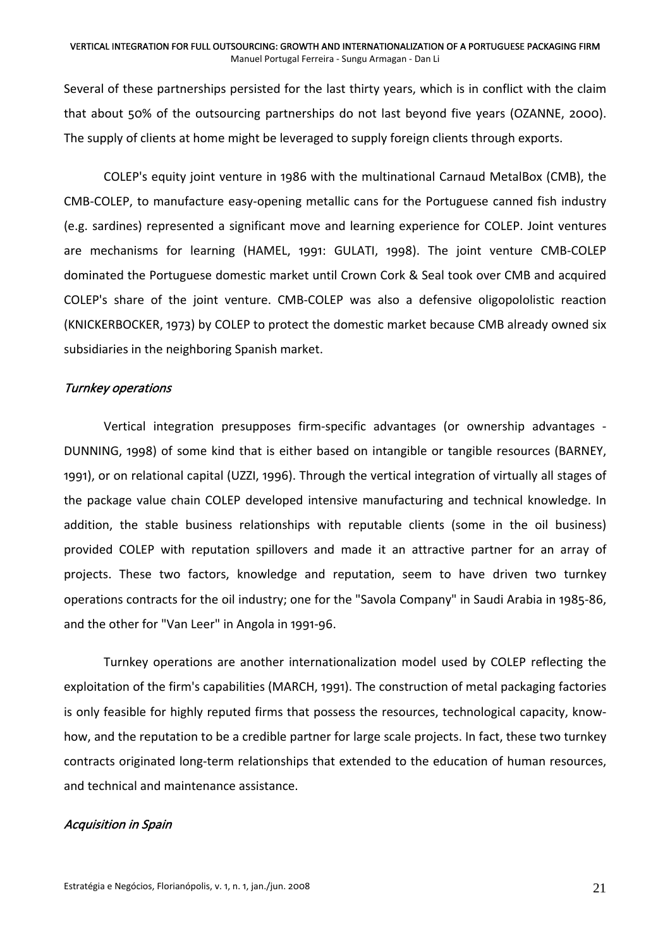Several of these partnerships persisted for the last thirty years, which is in conflict with the claim that about 50% of the outsourcing partnerships do not last beyond five years (OZANNE, 2000). The supply of clients at home might be leveraged to supply foreign clients through exports.

COLEP's equity joint venture in 1986 with the multinational Carnaud MetalBox (CMB), the CMB‐COLEP, to manufacture easy‐opening metallic cans for the Portuguese canned fish industry (e.g. sardines) represented a significant move and learning experience for COLEP. Joint ventures are mechanisms for learning (HAMEL, 1991: GULATI, 1998). The joint venture CMB‐COLEP dominated the Portuguese domestic market until Crown Cork & Seal took over CMB and acquired COLEP's share of the joint venture. CMB‐COLEP was also a defensive oligopololistic reaction (KNICKERBOCKER, 1973) by COLEP to protect the domestic market because CMB already owned six subsidiaries in the neighboring Spanish market.

### Turnkey operations

Vertical integration presupposes firm‐specific advantages (or ownership advantages ‐ DUNNING, 1998) of some kind that is either based on intangible or tangible resources (BARNEY, 1991), or on relational capital (UZZI, 1996). Through the vertical integration of virtually all stages of the package value chain COLEP developed intensive manufacturing and technical knowledge. In addition, the stable business relationships with reputable clients (some in the oil business) provided COLEP with reputation spillovers and made it an attractive partner for an array of projects. These two factors, knowledge and reputation, seem to have driven two turnkey operations contracts for the oil industry; one for the "Savola Company" in Saudi Arabia in 1985‐86, and the other for "Van Leer" in Angola in 1991‐96.

Turnkey operations are another internationalization model used by COLEP reflecting the exploitation of the firm's capabilities (MARCH, 1991). The construction of metal packaging factories is only feasible for highly reputed firms that possess the resources, technological capacity, know‐ how, and the reputation to be a credible partner for large scale projects. In fact, these two turnkey contracts originated long‐term relationships that extended to the education of human resources, and technical and maintenance assistance.

### Acquisition in Spain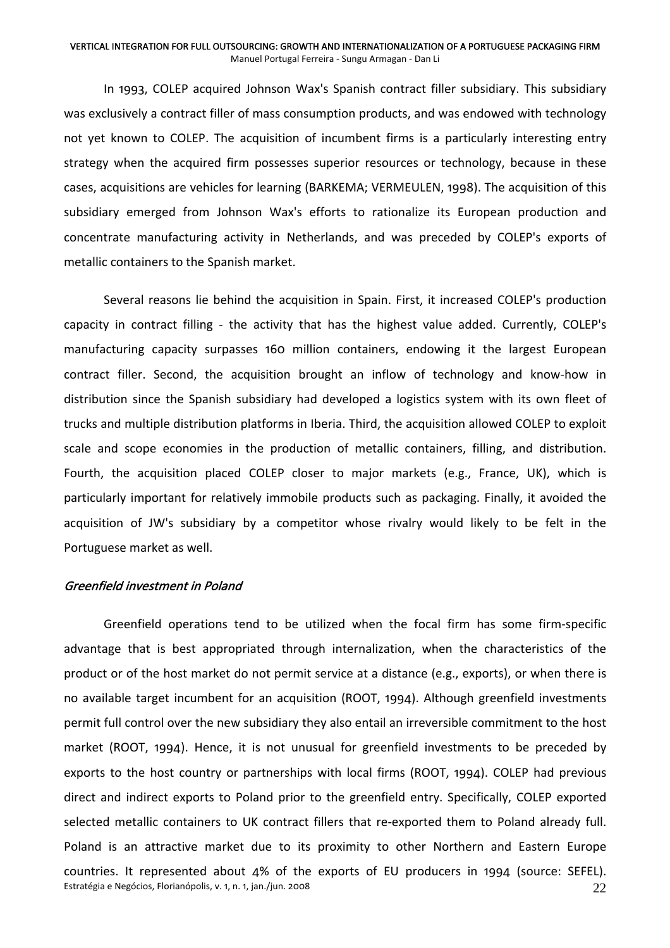In 1993, COLEP acquired Johnson Wax's Spanish contract filler subsidiary. This subsidiary was exclusively a contract filler of mass consumption products, and was endowed with technology not yet known to COLEP. The acquisition of incumbent firms is a particularly interesting entry strategy when the acquired firm possesses superior resources or technology, because in these cases, acquisitions are vehicles for learning (BARKEMA; VERMEULEN, 1998). The acquisition of this subsidiary emerged from Johnson Wax's efforts to rationalize its European production and concentrate manufacturing activity in Netherlands, and was preceded by COLEP's exports of metallic containers to the Spanish market.

Several reasons lie behind the acquisition in Spain. First, it increased COLEP's production capacity in contract filling - the activity that has the highest value added. Currently, COLEP's manufacturing capacity surpasses 160 million containers, endowing it the largest European contract filler. Second, the acquisition brought an inflow of technology and know‐how in distribution since the Spanish subsidiary had developed a logistics system with its own fleet of trucks and multiple distribution platforms in Iberia. Third, the acquisition allowed COLEP to exploit scale and scope economies in the production of metallic containers, filling, and distribution. Fourth, the acquisition placed COLEP closer to major markets (e.g., France, UK), which is particularly important for relatively immobile products such as packaging. Finally, it avoided the acquisition of JW's subsidiary by a competitor whose rivalry would likely to be felt in the Portuguese market as well.

### Greenfield investment in Poland

Estratégia e Negócios, Florianópolis, v. 1, n. 1, jan./jun. 2008 22 Greenfield operations tend to be utilized when the focal firm has some firm‐specific advantage that is best appropriated through internalization, when the characteristics of the product or of the host market do not permit service at a distance (e.g., exports), or when there is no available target incumbent for an acquisition (ROOT, 1994). Although greenfield investments permit full control over the new subsidiary they also entail an irreversible commitment to the host market (ROOT, 1994). Hence, it is not unusual for greenfield investments to be preceded by exports to the host country or partnerships with local firms (ROOT, 1994). COLEP had previous direct and indirect exports to Poland prior to the greenfield entry. Specifically, COLEP exported selected metallic containers to UK contract fillers that re-exported them to Poland already full. Poland is an attractive market due to its proximity to other Northern and Eastern Europe countries. It represented about 4% of the exports of EU producers in 1994 (source: SEFEL).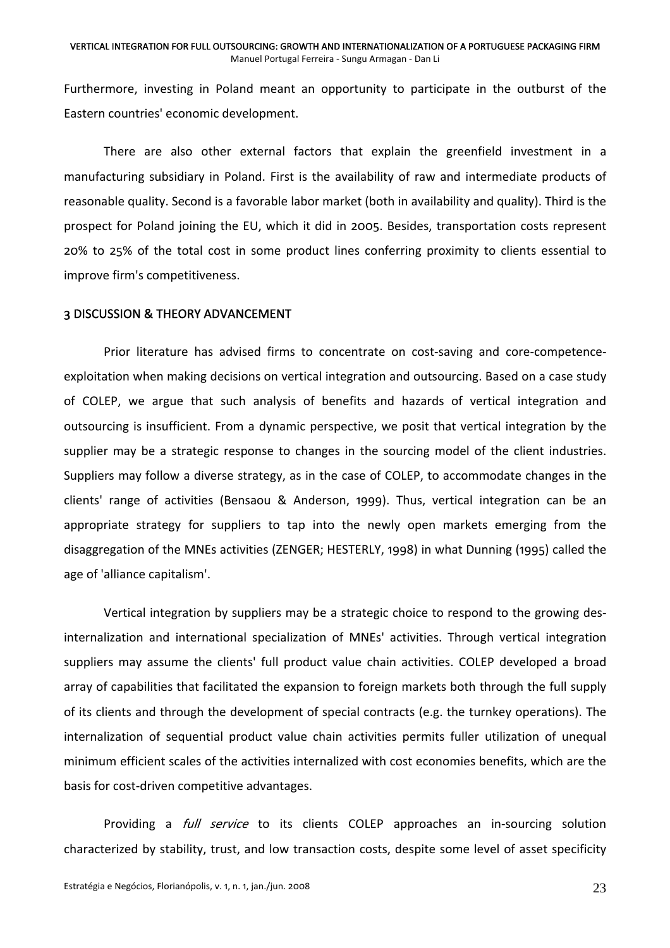Furthermore, investing in Poland meant an opportunity to participate in the outburst of the Eastern countries' economic development.

There are also other external factors that explain the greenfield investment in a manufacturing subsidiary in Poland. First is the availability of raw and intermediate products of reasonable quality. Second is a favorable labor market (both in availability and quality). Third is the prospect for Poland joining the EU, which it did in 2005. Besides, transportation costs represent 20% to 25% of the total cost in some product lines conferring proximity to clients essential to improve firm's competitiveness.

### 3 DISCUSSION & THEORY ADVANCEMENT

Prior literature has advised firms to concentrate on cost‐saving and core‐competence‐ exploitation when making decisions on vertical integration and outsourcing. Based on a case study of COLEP, we argue that such analysis of benefits and hazards of vertical integration and outsourcing is insufficient. From a dynamic perspective, we posit that vertical integration by the supplier may be a strategic response to changes in the sourcing model of the client industries. Suppliers may follow a diverse strategy, as in the case of COLEP, to accommodate changes in the clients' range of activities (Bensaou & Anderson, 1999). Thus, vertical integration can be an appropriate strategy for suppliers to tap into the newly open markets emerging from the disaggregation of the MNEs activities (ZENGER; HESTERLY, 1998) in what Dunning (1995) called the age of 'alliance capitalism'.

Vertical integration by suppliers may be a strategic choice to respond to the growing des‐ internalization and international specialization of MNEs' activities. Through vertical integration suppliers may assume the clients' full product value chain activities. COLEP developed a broad array of capabilities that facilitated the expansion to foreign markets both through the full supply of its clients and through the development of special contracts (e.g. the turnkey operations). The internalization of sequential product value chain activities permits fuller utilization of unequal minimum efficient scales of the activities internalized with cost economies benefits, which are the basis for cost‐driven competitive advantages.

Providing a *full service* to its clients COLEP approaches an in-sourcing solution characterized by stability, trust, and low transaction costs, despite some level of asset specificity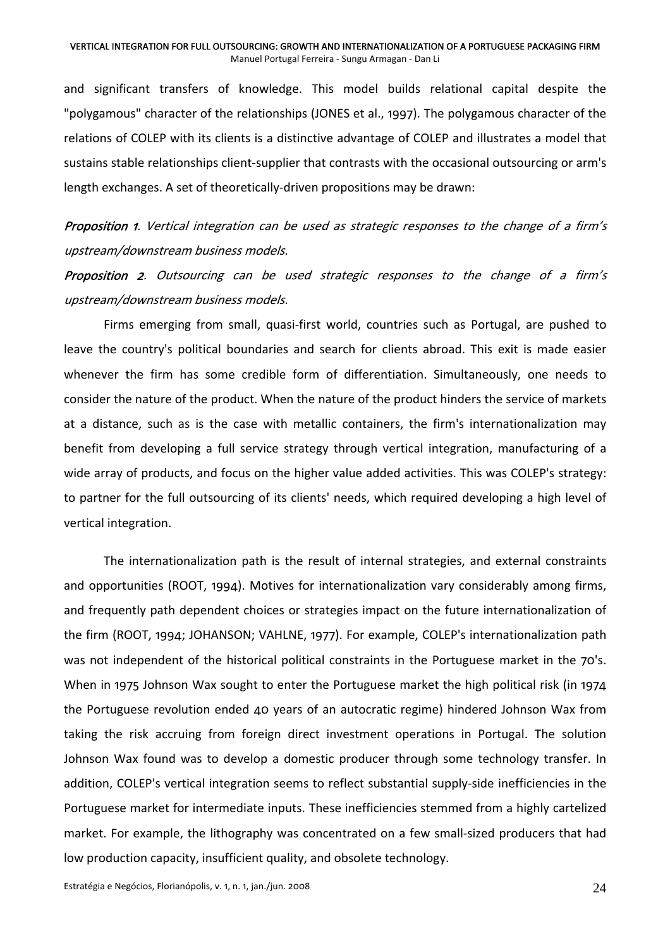and significant transfers of knowledge. This model builds relational capital despite the "polygamous" character of the relationships (JONES et al., 1997). The polygamous character of the relations of COLEP with its clients is a distinctive advantage of COLEP and illustrates a model that sustains stable relationships client-supplier that contrasts with the occasional outsourcing or arm's length exchanges. A set of theoretically‐driven propositions may be drawn:

**Proposition 1**. Vertical integration can be used as strategic responses to the change of a firm's upstream/downstream business models.

Proposition 2. Outsourcing can be used strategic responses to the change of a firm's upstream/downstream business models.

Firms emerging from small, quasi-first world, countries such as Portugal, are pushed to leave the country's political boundaries and search for clients abroad. This exit is made easier whenever the firm has some credible form of differentiation. Simultaneously, one needs to consider the nature of the product. When the nature of the product hinders the service of markets at a distance, such as is the case with metallic containers, the firm's internationalization may benefit from developing a full service strategy through vertical integration, manufacturing of a wide array of products, and focus on the higher value added activities. This was COLEP's strategy: to partner for the full outsourcing of its clients' needs, which required developing a high level of vertical integration.

The internationalization path is the result of internal strategies, and external constraints and opportunities (ROOT, 1994). Motives for internationalization vary considerably among firms, and frequently path dependent choices or strategies impact on the future internationalization of the firm (ROOT, 1994; JOHANSON; VAHLNE, 1977). For example, COLEP's internationalization path was not independent of the historical political constraints in the Portuguese market in the 70's. When in 1975 Johnson Wax sought to enter the Portuguese market the high political risk (in 1974 the Portuguese revolution ended 40 years of an autocratic regime) hindered Johnson Wax from taking the risk accruing from foreign direct investment operations in Portugal. The solution Johnson Wax found was to develop a domestic producer through some technology transfer. In addition, COLEP's vertical integration seems to reflect substantial supply‐side inefficiencies in the Portuguese market for intermediate inputs. These inefficiencies stemmed from a highly cartelized market. For example, the lithography was concentrated on a few small‐sized producers that had low production capacity, insufficient quality, and obsolete technology.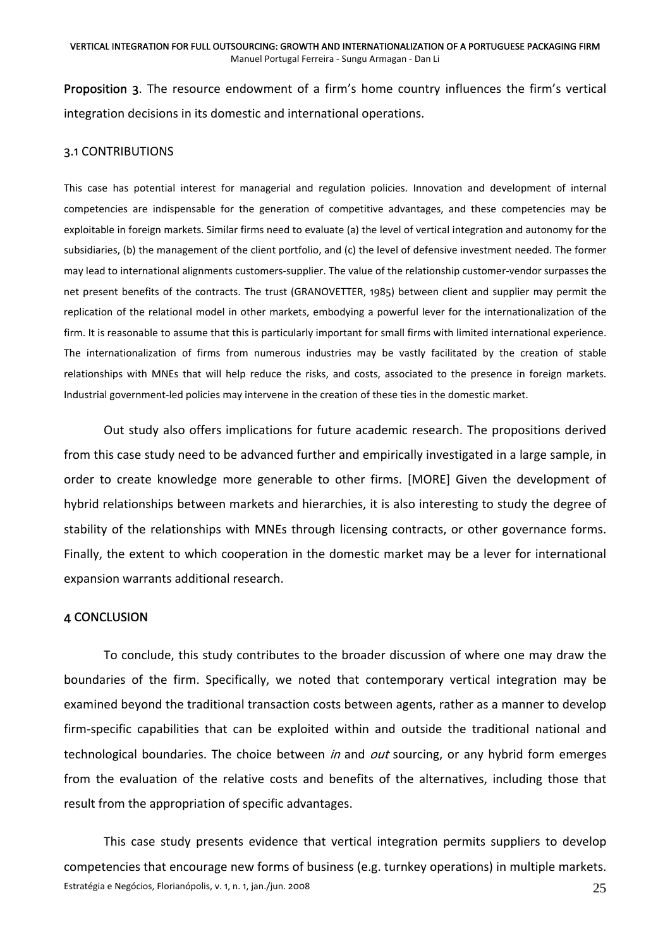Proposition 3. The resource endowment of a firm's home country influences the firm's vertical integration decisions in its domestic and international operations.

### 3.1 CONTRIBUTIONS

This case has potential interest for managerial and regulation policies. Innovation and development of internal competencies are indispensable for the generation of competitive advantages, and these competencies may be exploitable in foreign markets. Similar firms need to evaluate (a) the level of vertical integration and autonomy for the subsidiaries, (b) the management of the client portfolio, and (c) the level of defensive investment needed. The former may lead to international alignments customers‐supplier. The value of the relationship customer‐vendor surpasses the net present benefits of the contracts. The trust (GRANOVETTER, 1985) between client and supplier may permit the replication of the relational model in other markets, embodying a powerful lever for the internationalization of the firm. It is reasonable to assume that this is particularly important for small firms with limited international experience. The internationalization of firms from numerous industries may be vastly facilitated by the creation of stable relationships with MNEs that will help reduce the risks, and costs, associated to the presence in foreign markets. Industrial government‐led policies may intervene in the creation of these ties in the domestic market.

Out study also offers implications for future academic research. The propositions derived from this case study need to be advanced further and empirically investigated in a large sample, in order to create knowledge more generable to other firms. [MORE] Given the development of hybrid relationships between markets and hierarchies, it is also interesting to study the degree of stability of the relationships with MNEs through licensing contracts, or other governance forms. Finally, the extent to which cooperation in the domestic market may be a lever for international expansion warrants additional research.

### 4 CONCLUSION

To conclude, this study contributes to the broader discussion of where one may draw the boundaries of the firm. Specifically, we noted that contemporary vertical integration may be examined beyond the traditional transaction costs between agents, rather as a manner to develop firm-specific capabilities that can be exploited within and outside the traditional national and technological boundaries. The choice between *in* and *out* sourcing, or any hybrid form emerges from the evaluation of the relative costs and benefits of the alternatives, including those that result from the appropriation of specific advantages.

Estratégia e Negócios, Florianópolis, v. 1, n. 1, jan./jun. 2008 25 This case study presents evidence that vertical integration permits suppliers to develop competencies that encourage new forms of business (e.g. turnkey operations) in multiple markets.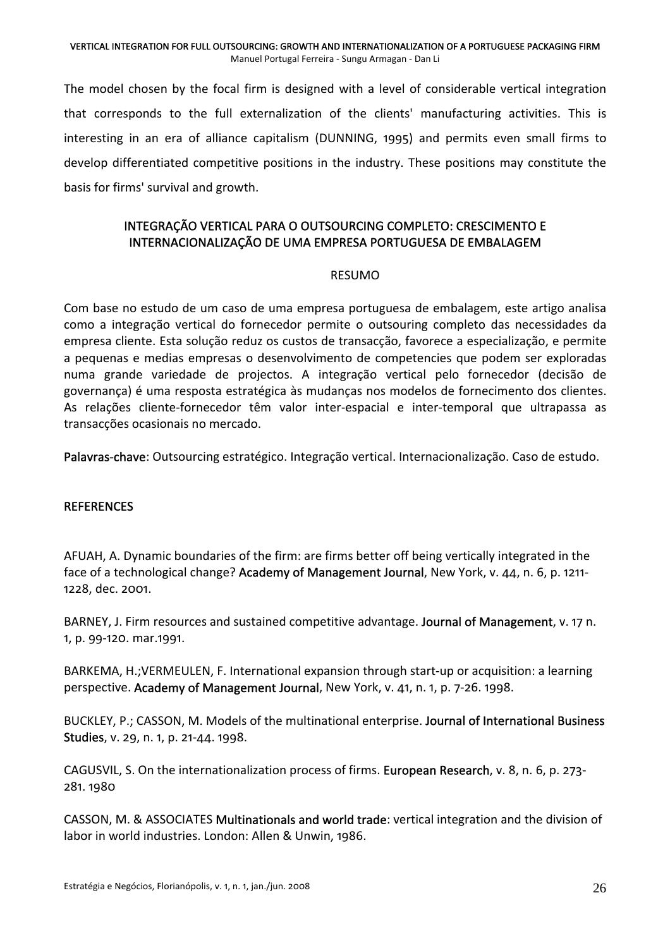The model chosen by the focal firm is designed with a level of considerable vertical integration that corresponds to the full externalization of the clients' manufacturing activities. This is interesting in an era of alliance capitalism (DUNNING, 1995) and permits even small firms to develop differentiated competitive positions in the industry. These positions may constitute the basis for firms' survival and growth.

# INTEGRAÇÃO VERTICAL PARA O OUTSOURCING COMPLETO: CRESCIMENTO E INTERNACIONALIZAÇÃO DE UMA EMPRESA PORTUGUESA DE EMBALAGEM

### RESUMO

Com base no estudo de um caso de uma empresa portuguesa de embalagem, este artigo analisa como a integração vertical do fornecedor permite o outsouring completo das necessidades da empresa cliente. Esta solução reduz os custos de transacção, favorece a especialização, e permite a pequenas e medias empresas o desenvolvimento de competencies que podem ser exploradas numa grande variedade de projectos. A integração vertical pelo fornecedor (decisão de governança) é uma resposta estratégica às mudanças nos modelos de fornecimento dos clientes. As relações cliente‐fornecedor têm valor inter‐espacial e inter‐temporal que ultrapassa as transacções ocasionais no mercado.

Palavras-chave: Outsourcing estratégico. Integração vertical. Internacionalização. Caso de estudo.

## **REFERENCES**

AFUAH, A. Dynamic boundaries of the firm: are firms better off being vertically integrated in the face of a technological change? Academy of Management Journal, New York, v. 44, n. 6, p. 1211-1228, dec. 2001.

BARNEY, J. Firm resources and sustained competitive advantage. Journal of Management, v. 17 n. 1, p. 99‐120. mar.1991.

BARKEMA, H.;VERMEULEN, F. International expansion through start‐up or acquisition: a learning perspective. Academy of Management Journal, New York, v. 41, n. 1, p. 7‐26. 1998.

BUCKLEY, P.; CASSON, M. Models of the multinational enterprise. Journal of International Business Studies, v. 29, n. 1, p. 21-44. 1998.

CAGUSVIL, S. On the internationalization process of firms. European Research, v. 8, n. 6, p. 273‐ 281. 1980

CASSON, M. & ASSOCIATES Multinationals and world trade: vertical integration and the division of labor in world industries. London: Allen & Unwin, 1986.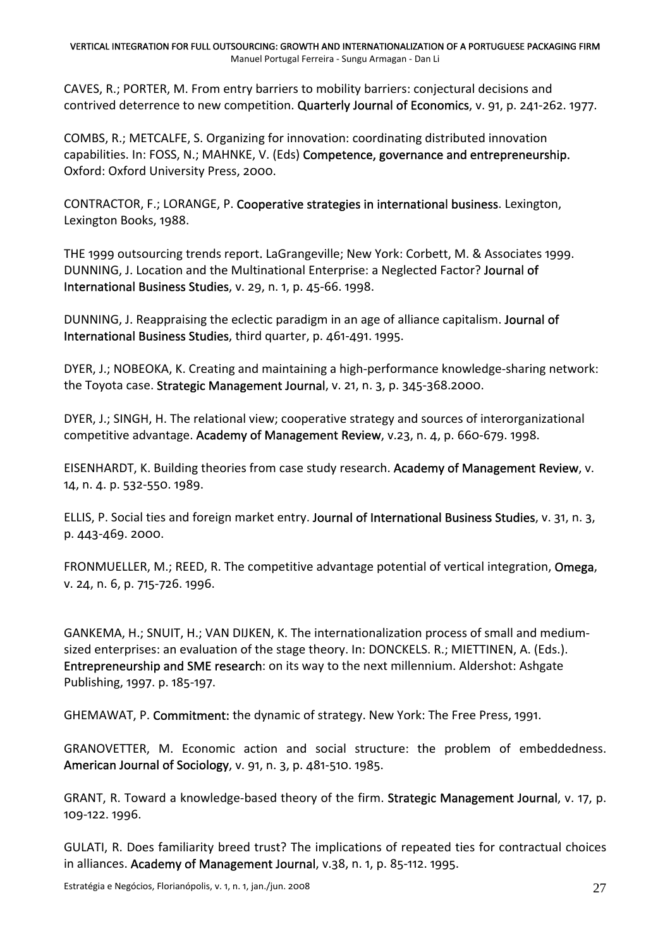CAVES, R.; PORTER, M. From entry barriers to mobility barriers: conjectural decisions and contrived deterrence to new competition. Quarterly Journal of Economics, v. 91, p. 241‐262. 1977.

COMBS, R.; METCALFE, S. Organizing for innovation: coordinating distributed innovation capabilities. In: FOSS, N.; MAHNKE, V. (Eds) Competence, governance and entrepreneurship. Oxford: Oxford University Press, 2000.

CONTRACTOR, F.; LORANGE, P. Cooperative strategies in international business. Lexington, Lexington Books, 1988.

THE 1999 outsourcing trends report. LaGrangeville; New York: Corbett, M. & Associates 1999. DUNNING, J. Location and the Multinational Enterprise: a Neglected Factor? Journal of International Business Studies, v. 29, n. 1, p. 45‐66. 1998.

DUNNING, J. Reappraising the eclectic paradigm in an age of alliance capitalism. Journal of International Business Studies, third quarter, p. 461‐491. 1995.

DYER, J.; NOBEOKA, K. Creating and maintaining a high‐performance knowledge‐sharing network: the Toyota case. Strategic Management Journal, v. 21, n. 3, p. 345‐368.2000.

DYER, J.; SINGH, H. The relational view; cooperative strategy and sources of interorganizational competitive advantage. Academy of Management Review, v.23, n. 4, p. 660‐679. 1998.

EISENHARDT, K. Building theories from case study research. Academy of Management Review, v. 14, n. 4. p. 532‐550. 1989.

ELLIS, P. Social ties and foreign market entry. Journal of International Business Studies, v. 31, n. 3, p. 443‐469. 2000.

FRONMUELLER, M.; REED, R. The competitive advantage potential of vertical integration, Omega, v. 24, n. 6, p. 715‐726. 1996.

GANKEMA, H.; SNUIT, H.; VAN DIJKEN, K. The internationalization process of small and medium‐ sized enterprises: an evaluation of the stage theory. In: DONCKELS. R.; MIETTINEN, A. (Eds.). Entrepreneurship and SME research: on its way to the next millennium. Aldershot: Ashgate Publishing, 1997. p. 185‐197.

GHEMAWAT, P. Commitment: the dynamic of strategy. New York: The Free Press, 1991.

GRANOVETTER, M. Economic action and social structure: the problem of embeddedness. American Journal of Sociology, v. 91, n. 3, p. 481‐510. 1985.

GRANT, R. Toward a knowledge-based theory of the firm. Strategic Management Journal, v. 17, p. 109‐122. 1996.

GULATI, R. Does familiarity breed trust? The implications of repeated ties for contractual choices in alliances. Academy of Management Journal, v.38, n. 1, p. 85-112. 1995.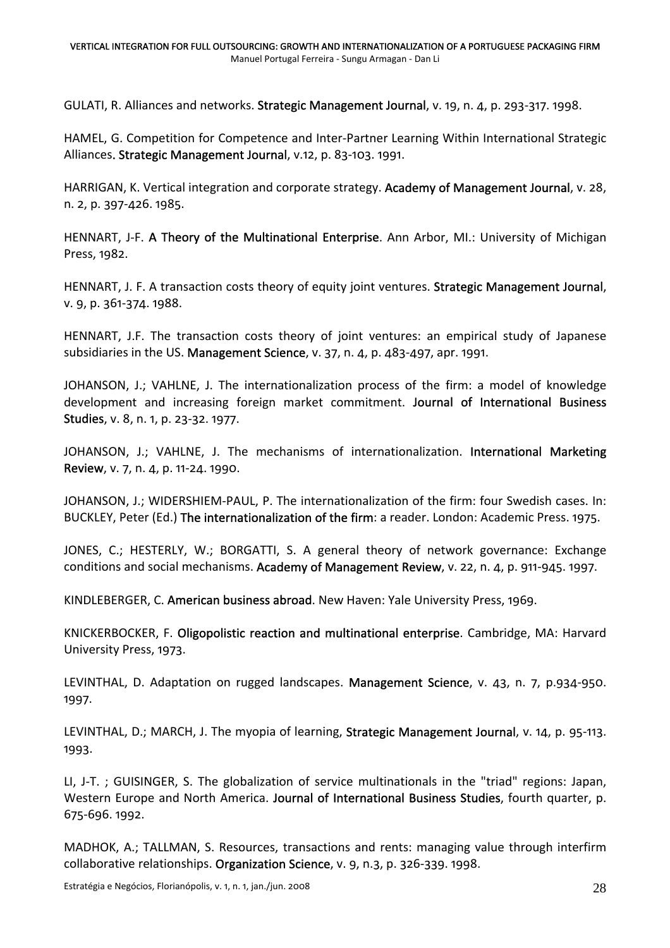GULATI, R. Alliances and networks. Strategic Management Journal, v. 19, n. 4, p. 293‐317. 1998.

HAMEL, G. Competition for Competence and Inter-Partner Learning Within International Strategic Alliances. Strategic Management Journal, v.12, p. 83‐103. 1991.

HARRIGAN, K. Vertical integration and corporate strategy. Academy of Management Journal, v. 28, n. 2, p. 397‐426. 1985.

HENNART, J-F. A Theory of the Multinational Enterprise. Ann Arbor, MI.: University of Michigan Press, 1982.

HENNART, J. F. A transaction costs theory of equity joint ventures. Strategic Management Journal, v. 9, p. 361‐374. 1988.

HENNART, J.F. The transaction costs theory of joint ventures: an empirical study of Japanese subsidiaries in the US. Management Science, v. 37, n. 4, p. 483‐497, apr. 1991.

JOHANSON, J.; VAHLNE, J. The internationalization process of the firm: a model of knowledge development and increasing foreign market commitment. Journal of International Business Studies, v. 8, n. 1, p. 23-32. 1977.

JOHANSON, J.; VAHLNE, J. The mechanisms of internationalization. International Marketing Review, v. 7, n. 4, p. 11‐24. 1990.

JOHANSON, J.; WIDERSHIEM‐PAUL, P. The internationalization of the firm: four Swedish cases. In: BUCKLEY, Peter (Ed.) The internationalization of the firm: a reader. London: Academic Press. 1975.

JONES, C.; HESTERLY, W.; BORGATTI, S. A general theory of network governance: Exchange conditions and social mechanisms. Academy of Management Review, v. 22, n. 4, p. 911‐945. 1997.

KINDLEBERGER, C. American business abroad. New Haven: Yale University Press, 1969.

KNICKERBOCKER, F. Oligopolistic reaction and multinational enterprise. Cambridge, MA: Harvard University Press, 1973.

LEVINTHAL, D. Adaptation on rugged landscapes. Management Science, v. 43, n. 7, p.934-950. 1997.

LEVINTHAL, D.; MARCH, J. The myopia of learning, Strategic Management Journal, v. 14, p. 95-113. 1993.

LI, J-T.; GUISINGER, S. The globalization of service multinationals in the "triad" regions: Japan, Western Europe and North America. Journal of International Business Studies, fourth quarter, p. 675‐696. 1992.

MADHOK, A.; TALLMAN, S. Resources, transactions and rents: managing value through interfirm collaborative relationships. Organization Science, v. 9, n.3, p. 326‐339. 1998.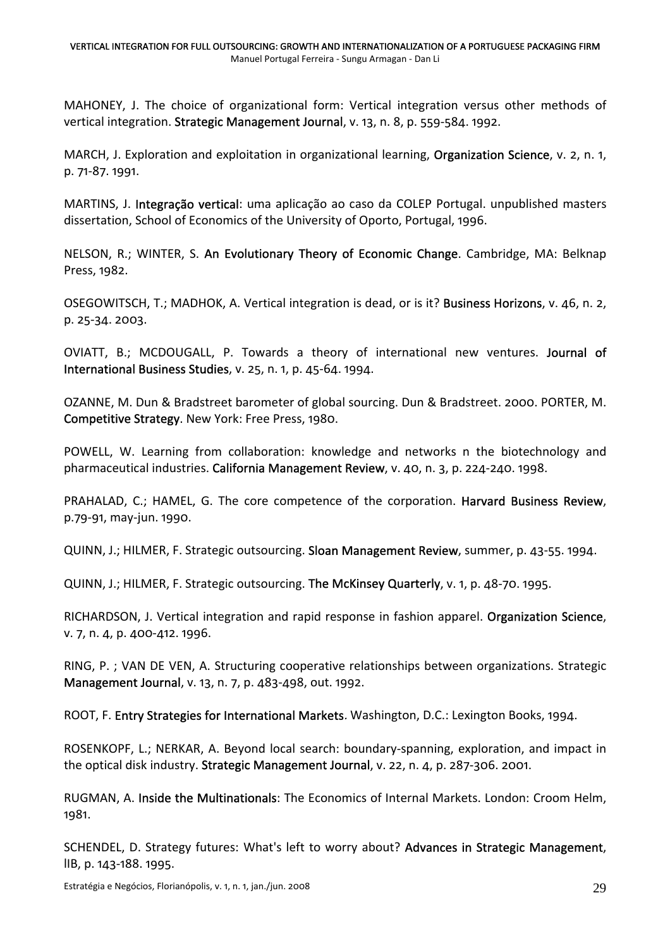MAHONEY, J. The choice of organizational form: Vertical integration versus other methods of vertical integration. Strategic Management Journal, v. 13, n. 8, p. 559‐584. 1992.

MARCH, J. Exploration and exploitation in organizational learning, Organization Science, v. 2, n. 1, p. 71‐87. 1991.

MARTINS, J. Integração vertical: uma aplicação ao caso da COLEP Portugal. unpublished masters dissertation, School of Economics of the University of Oporto, Portugal, 1996.

NELSON, R.; WINTER, S. An Evolutionary Theory of Economic Change. Cambridge, MA: Belknap Press, 1982.

OSEGOWITSCH, T.; MADHOK, A. Vertical integration is dead, or is it? Business Horizons, v. 46, n. 2, p. 25‐34. 2003.

OVIATT, B.; MCDOUGALL, P. Towards a theory of international new ventures. Journal of International Business Studies, v. 25, n. 1, p. 45‐64. 1994.

OZANNE, M. Dun & Bradstreet barometer of global sourcing. Dun & Bradstreet. 2000. PORTER, M. Competitive Strategy. New York: Free Press, 1980.

POWELL, W. Learning from collaboration: knowledge and networks n the biotechnology and pharmaceutical industries. California Management Review, v. 40, n. 3, p. 224‐240. 1998.

PRAHALAD, C.; HAMEL, G. The core competence of the corporation. Harvard Business Review, p.79‐91, may‐jun. 1990.

QUINN, J.; HILMER, F. Strategic outsourcing. Sloan Management Review, summer, p. 43-55. 1994.

QUINN, J.; HILMER, F. Strategic outsourcing. The McKinsey Quarterly, v. 1, p. 48‐70. 1995.

RICHARDSON, J. Vertical integration and rapid response in fashion apparel. Organization Science, v. 7, n. 4, p. 400‐412. 1996.

RING, P. ; VAN DE VEN, A. Structuring cooperative relationships between organizations. Strategic Management Journal, v. 13, n. 7, p. 483‐498, out. 1992.

ROOT, F. Entry Strategies for International Markets. Washington, D.C.: Lexington Books, 1994.

ROSENKOPF, L.; NERKAR, A. Beyond local search: boundary‐spanning, exploration, and impact in the optical disk industry. Strategic Management Journal, v. 22, n. 4, p. 287‐306. 2001.

RUGMAN, A. Inside the Multinationals: The Economics of Internal Markets. London: Croom Helm, 1981.

SCHENDEL, D. Strategy futures: What's left to worry about? Advances in Strategic Management, lIB, p. 143‐188. 1995.